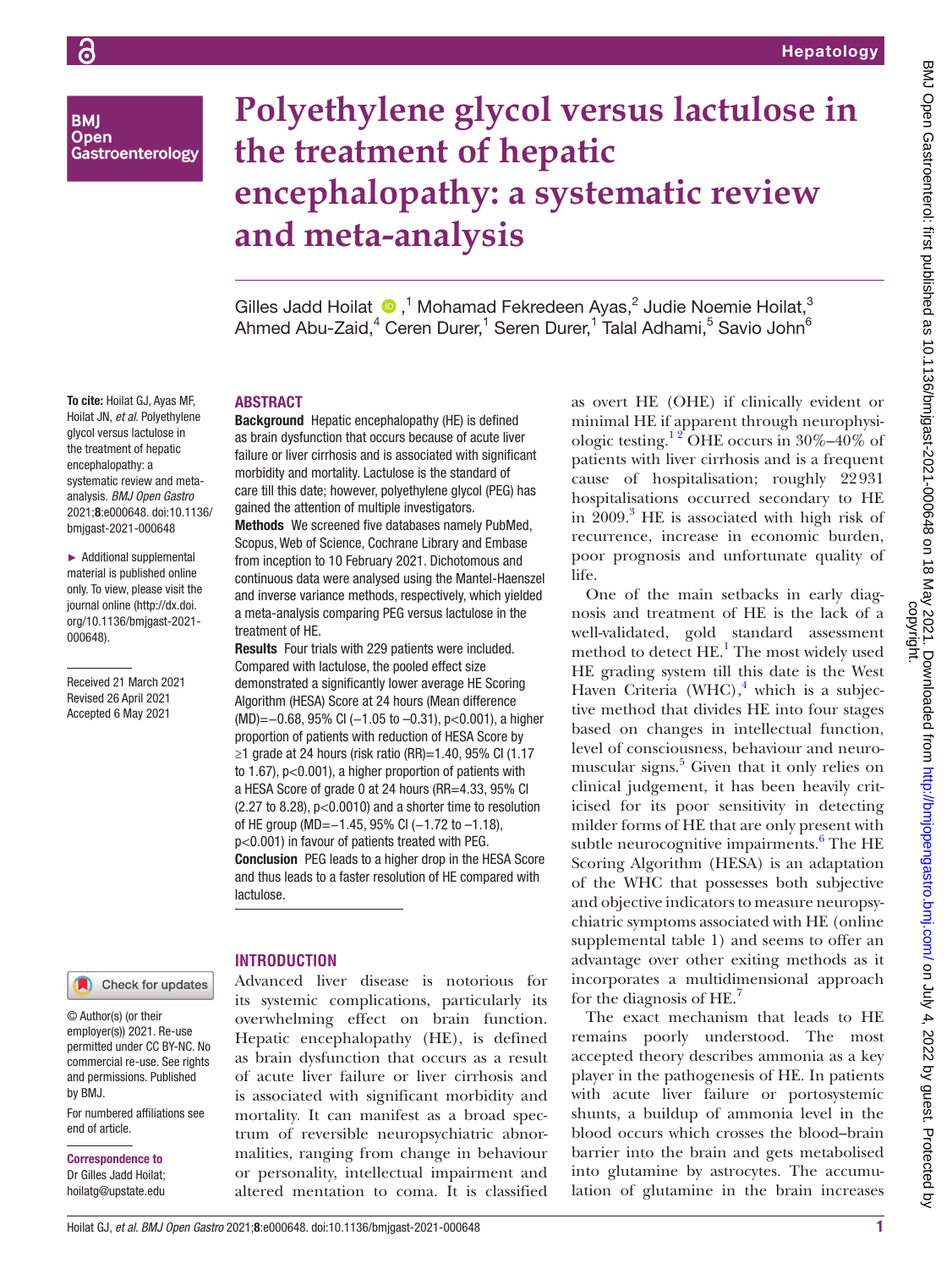**BMI Open** Gastroenterology

# **Polyethylene glycol versus lactulose in the treatment of hepatic encephalopathy: a systematic review and meta-analysis**

GillesJadd Hoilat  $\bullet$ ,<sup>1</sup> Mohamad Fekredeen Ayas,<sup>2</sup> Judie Noemie Hoilat,<sup>3</sup> Ahmed Abu-Zaid,<sup>4</sup> Ceren Durer,<sup>1</sup> Seren Durer,<sup>1</sup> Talal Adhami,<sup>5</sup> Savio John<sup>6</sup>

#### To cite: Hoilat GJ, Ayas MF, Hoilat JN, *et al*. Polyethylene glycol versus lactulose in the treatment of hepatic encephalopathy: a systematic review and metaanalysis. *BMJ Open Gastro* 2021;8:e000648. doi:10.1136/ bmjgast-2021-000648

► Additional supplemental material is published online only. To view, please visit the journal online (http://dx.doi. org/10.1136/bmjgast-2021- 000648).

Received 21 March 2021 Revised 26 April 2021 Accepted 6 May 2021

# ABSTRACT

Background Hepatic encephalopathy (HE) is defined as brain dysfunction that occurs because of acute liver failure or liver cirrhosis and is associated with significant morbidity and mortality. Lactulose is the standard of care till this date; however, polyethylene glycol (PEG) has gained the attention of multiple investigators. Methods We screened five databases namely PubMed, Scopus, Web of Science, Cochrane Library and Embase from inception to 10 February 2021. Dichotomous and continuous data were analysed using the Mantel-Haenszel and inverse variance methods, respectively, which yielded a meta-analysis comparing PEG versus lactulose in the treatment of HE.

Results Four trials with 229 patients were included. Compared with lactulose, the pooled effect size demonstrated a significantly lower average HE Scoring Algorithm (HESA) Score at 24 hours (Mean difference (MD)=−0.68, 95% CI (−1.05 to –0.31), p<0.001), a higher proportion of patients with reduction of HESA Score by ≥1 grade at 24 hours (risk ratio (RR)=1.40, 95% CI (1.17 to 1.67), p<0.001), a higher proportion of patients with a HESA Score of grade 0 at 24 hours (RR=4.33, 95% CI (2.27 to 8.28), p<0.0010) and a shorter time to resolution of HE group (MD=−1.45, 95% CI (−1.72 to −1.18), p<0.001) in favour of patients treated with PEG. Conclusion PEG leads to a higher drop in the HESA Score and thus leads to a faster resolution of HE compared with lactulose.

Check for updates

#### © Author(s) (or their employer(s)) 2021. Re-use permitted under CC BY-NC. No commercial re-use. See rights and permissions. Published by BMJ.

For numbered affiliations see end of article.

# Correspondence to

Dr Gilles Jadd Hoilat; hoilatg@upstate.edu

# **INTRODUCTION**

Advanced liver disease is notorious for its systemic complications, particularly its overwhelming effect on brain function. Hepatic encephalopathy (HE), is defined as brain dysfunction that occurs as a result of acute liver failure or liver cirrhosis and is associated with significant morbidity and mortality. It can manifest as a broad spectrum of reversible neuropsychiatric abnormalities, ranging from change in behaviour or personality, intellectual impairment and altered mentation to coma. It is classified as overt HE (OHE) if clinically evident or minimal HE if apparent through neurophysiologic testing.<sup>12</sup> OHE occurs in 30%–40% of patients with liver cirrhosis and is a frequent cause of hospitalisation; roughly 22931 hospitalisations occurred secondary to HE in 2009.<sup>[3](#page-7-1)</sup> HE is associated with high risk of recurrence, increase in economic burden, poor prognosis and unfortunate quality of life.

One of the main setbacks in early diagnosis and treatment of HE is the lack of a well-validated, gold standard assessment method to detect HE.<sup>[1](#page-7-0)</sup> The most widely used HE grading system till this date is the West Haven Criteria (WHC), $4$  which is a subjective method that divides HE into four stages based on changes in intellectual function, level of consciousness, behaviour and neuro-muscular signs.<sup>[5](#page-7-3)</sup> Given that it only relies on clinical judgement, it has been heavily criticised for its poor sensitivity in detecting milder forms of HE that are only present with subtle neurocognitive impairments.<sup>[6](#page-7-4)</sup> The HE Scoring Algorithm (HESA) is an adaptation of the WHC that possesses both subjective and objective indicators to measure neuropsychiatric symptoms associated with HE [\(online](https://dx.doi.org/10.1136/bmjgast-2021-000648) [supplemental table 1\)](https://dx.doi.org/10.1136/bmjgast-2021-000648) and seems to offer an advantage over other exiting methods as it incorporates a multidimensional approach for the diagnosis of  $HE^{\gamma}$ .

The exact mechanism that leads to HE remains poorly understood. The most accepted theory describes ammonia as a key player in the pathogenesis of HE. In patients with acute liver failure or portosystemic shunts, a buildup of ammonia level in the blood occurs which crosses the blood–brain barrier into the brain and gets metabolised into glutamine by astrocytes. The accumulation of glutamine in the brain increases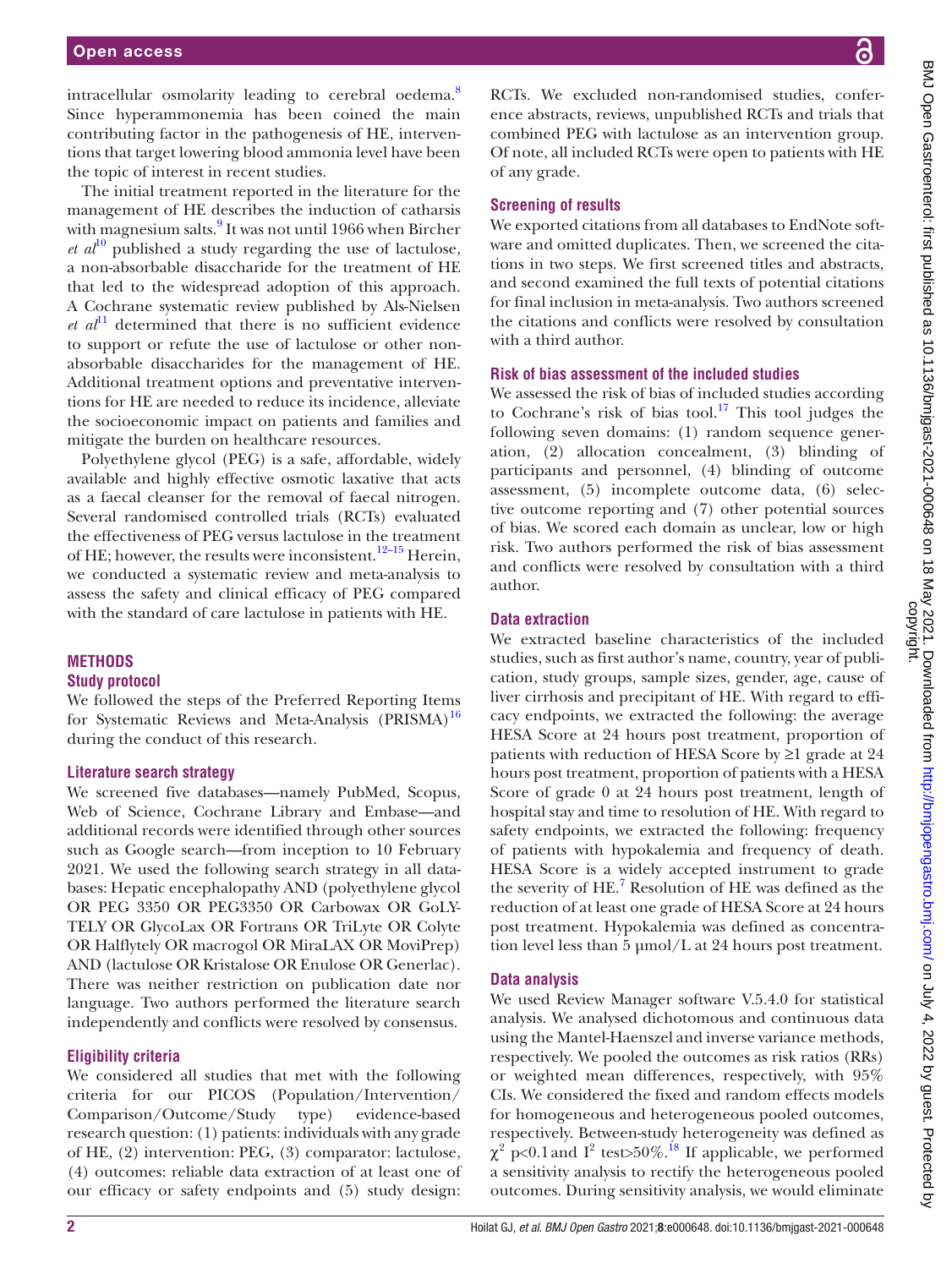intracellular osmolarity leading to cerebral oedema.<sup>[8](#page-7-6)</sup> Since hyperammonemia has been coined the main contributing factor in the pathogenesis of HE, interventions that target lowering blood ammonia level have been the topic of interest in recent studies.

The initial treatment reported in the literature for the management of HE describes the induction of catharsis with magnesium salts.<sup>[9](#page-7-7)</sup> It was not until 1966 when Bircher  $et\ a^{\dagger 0}$  published a study regarding the use of lactulose, a non-absorbable disaccharide for the treatment of HE that led to the widespread adoption of this approach. A Cochrane systematic review published by Als-Nielsen  $et \text{ } a l^{11}$  $et \text{ } a l^{11}$  $et \text{ } a l^{11}$  determined that there is no sufficient evidence to support or refute the use of lactulose or other nonabsorbable disaccharides for the management of HE. Additional treatment options and preventative interventions for HE are needed to reduce its incidence, alleviate the socioeconomic impact on patients and families and mitigate the burden on healthcare resources.

Polyethylene glycol (PEG) is a safe, affordable, widely available and highly effective osmotic laxative that acts as a faecal cleanser for the removal of faecal nitrogen. Several randomised controlled trials (RCTs) evaluated the effectiveness of PEG versus lactulose in the treatment of HE; however, the results were inconsistent.<sup>12–15</sup> Herein, we conducted a systematic review and meta-analysis to assess the safety and clinical efficacy of PEG compared with the standard of care lactulose in patients with HE.

## **METHODS**

#### **Study protocol**

We followed the steps of the Preferred Reporting Items for Systematic Reviews and Meta-Analysis  $(PRISMA)^{16}$ during the conduct of this research.

#### **Literature search strategy**

We screened five databases—namely PubMed, Scopus, Web of Science, Cochrane Library and Embase—and additional records were identified through other sources such as Google search—from inception to 10 February 2021. We used the following search strategy in all databases: Hepatic encephalopathy AND (polyethylene glycol OR PEG 3350 OR PEG3350 OR Carbowax OR GoLY-TELY OR GlycoLax OR Fortrans OR TriLyte OR Colyte OR Halflytely OR macrogol OR MiraLAX OR MoviPrep) AND (lactulose OR Kristalose OR Enulose OR Generlac). There was neither restriction on publication date nor language. Two authors performed the literature search independently and conflicts were resolved by consensus.

#### **Eligibility criteria**

We considered all studies that met with the following criteria for our PICOS (Population/Intervention/ Comparison/Outcome/Study type) evidence-based research question: (1) patients: individuals with any grade of HE, (2) intervention: PEG, (3) comparator: lactulose, (4) outcomes: reliable data extraction of at least one of our efficacy or safety endpoints and (5) study design:

RCTs. We excluded non-randomised studies, conference abstracts, reviews, unpublished RCTs and trials that combined PEG with lactulose as an intervention group. Of note, all included RCTs were open to patients with HE of any grade.

#### **Screening of results**

We exported citations from all databases to EndNote software and omitted duplicates. Then, we screened the citations in two steps. We first screened titles and abstracts, and second examined the full texts of potential citations for final inclusion in meta-analysis. Two authors screened the citations and conflicts were resolved by consultation with a third author.

#### **Risk of bias assessment of the included studies**

We assessed the risk of bias of included studies according to Cochrane's risk of bias tool.<sup>17</sup> This tool judges the following seven domains: (1) random sequence generation, (2) allocation concealment, (3) blinding of participants and personnel, (4) blinding of outcome assessment, (5) incomplete outcome data, (6) selective outcome reporting and (7) other potential sources of bias. We scored each domain as unclear, low or high risk. Two authors performed the risk of bias assessment and conflicts were resolved by consultation with a third author.

## **Data extraction**

We extracted baseline characteristics of the included studies, such as first author's name, country, year of publication, study groups, sample sizes, gender, age, cause of liver cirrhosis and precipitant of HE. With regard to efficacy endpoints, we extracted the following: the average HESA Score at 24 hours post treatment, proportion of patients with reduction of HESA Score by ≥1 grade at 24 hours post treatment, proportion of patients with a HESA Score of grade 0 at 24 hours post treatment, length of hospital stay and time to resolution of HE. With regard to safety endpoints, we extracted the following: frequency of patients with hypokalemia and frequency of death. HESA Score is a widely accepted instrument to grade the severity of HE.<sup>[7](#page-7-5)</sup> Resolution of HE was defined as the reduction of at least one grade of HESA Score at 24 hours post treatment. Hypokalemia was defined as concentration level less than 5 μmol/L at 24 hours post treatment.

## **Data analysis**

We used Review Manager software V.5.4.0 for statistical analysis. We analysed dichotomous and continuous data using the Mantel-Haenszel and inverse variance methods, respectively. We pooled the outcomes as risk ratios (RRs) or weighted mean differences, respectively, with 95% CIs. We considered the fixed and random effects models for homogeneous and heterogeneous pooled outcomes, respectively. Between-study heterogeneity was defined as  $\chi^2$  p<0.1 and I<sup>2</sup> test>50%.<sup>18</sup> If applicable, we performed a sensitivity analysis to rectify the heterogeneous pooled outcomes. During sensitivity analysis, we would eliminate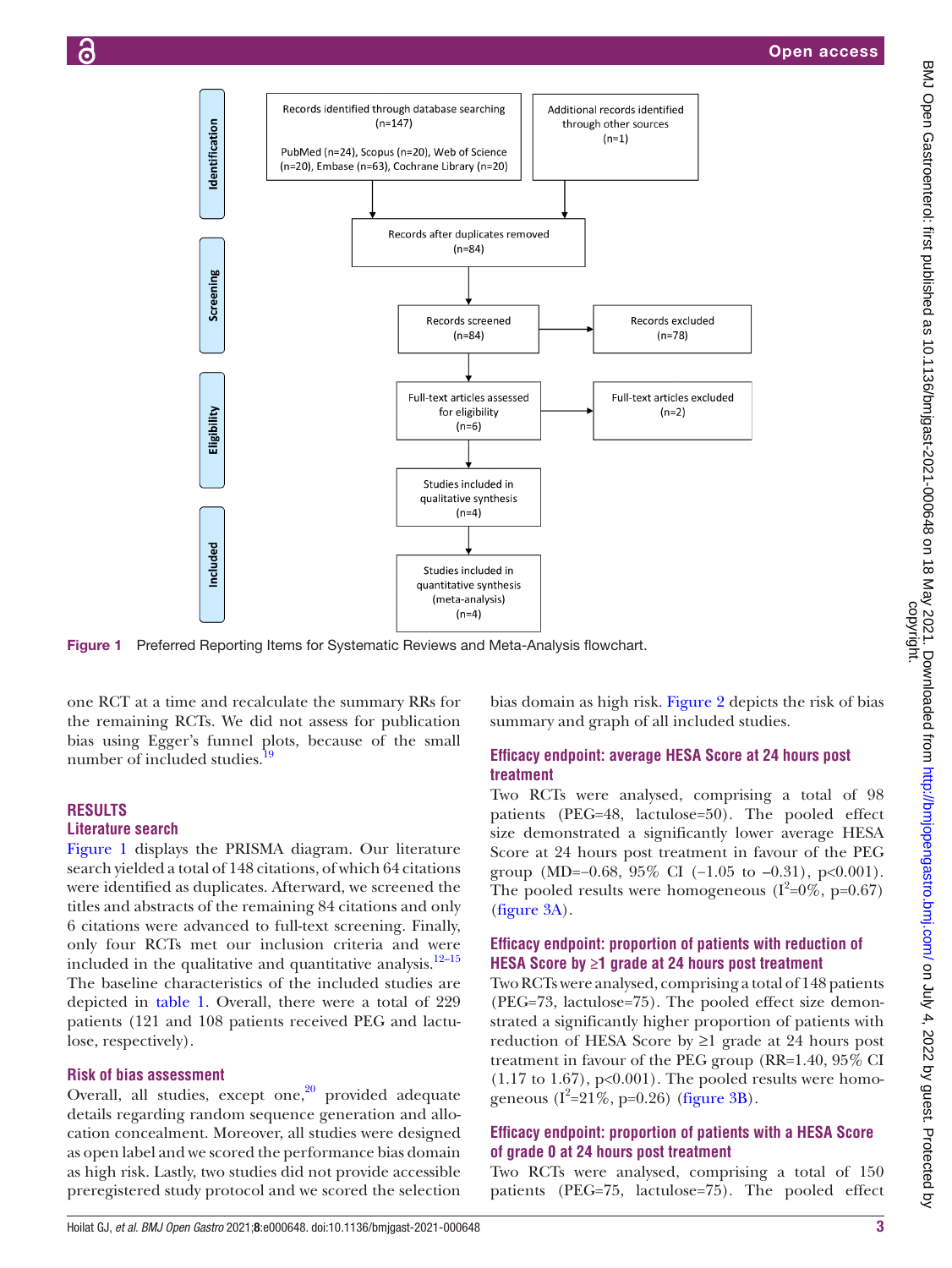

Figure 1 Preferred Reporting Items for Systematic Reviews and Meta-Analysis flowchart.

one RCT at a time and recalculate the summary RRs for the remaining RCTs. We did not assess for publication bias using Egger's funnel plots, because of the small number of included studies.

# **RESULTS**

#### **Literature search**

[Figure](#page-2-0) 1 displays the PRISMA diagram. Our literature search yielded a total of 148 citations, of which 64 citations were identified as duplicates. Afterward, we screened the titles and abstracts of the remaining 84 citations and only 6 citations were advanced to full-text screening. Finally, only four RCTs met our inclusion criteria and were included in the qualitative and quantitative analysis. $12-15$ The baseline characteristics of the included studies are depicted in [table](#page-3-0) 1. Overall, there were a total of 229 patients (121 and 108 patients received PEG and lactulose, respectively).

#### **Risk of bias assessment**

Overall, all studies, except one, $20$  provided adequate details regarding random sequence generation and allocation concealment. Moreover, all studies were designed as open label and we scored the performance bias domain as high risk. Lastly, two studies did not provide accessible preregistered study protocol and we scored the selection

<span id="page-2-0"></span>bias domain as high risk. [Figure](#page-4-0) 2 depicts the risk of bias summary and graph of all included studies.

#### **Efficacy endpoint: average HESA Score at 24 hours post treatment**

Two RCTs were analysed, comprising a total of 98 patients (PEG=48, lactulose=50). The pooled effect size demonstrated a significantly lower average HESA Score at 24 hours post treatment in favour of the PEG group (MD=−0.68, 95% CI (−1.05 to −0.31), p<0.001). The pooled results were homogeneous  $(I^2=0\%, p=0.67)$ [\(figure](#page-5-0) 3A).

## **Efficacy endpoint: proportion of patients with reduction of HESA Score by ≥1 grade at 24 hours post treatment**

Two RCTs were analysed, comprising a total of 148 patients (PEG=73, lactulose=75). The pooled effect size demonstrated a significantly higher proportion of patients with reduction of HESA Score by ≥1 grade at 24 hours post treatment in favour of the PEG group (RR=1.40, 95% CI  $(1.17 \text{ to } 1.67)$ , p<0.001). The pooled results were homogeneous  $(I^2=21\%$ , p=0.26) ([figure](#page-5-0) 3B).

#### **Efficacy endpoint: proportion of patients with a HESA Score of grade 0 at 24 hours post treatment**

Two RCTs were analysed, comprising a total of 150 patients (PEG=75, lactulose=75). The pooled effect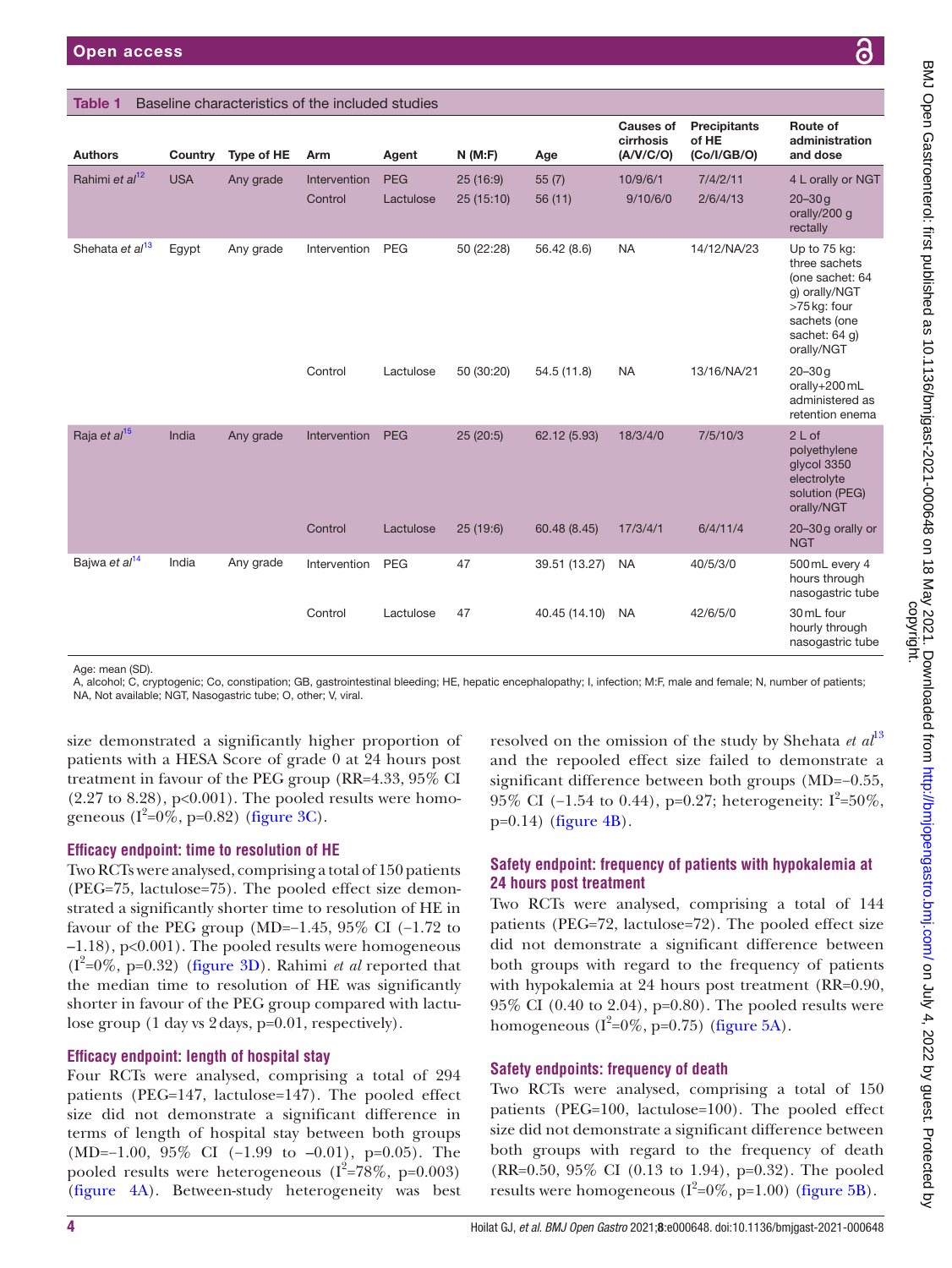#### <span id="page-3-0"></span>Table 1 Baseline characteristics of the included studies

| <b>Authors</b>              | Country    | Type of HE | Arm          | Agent      | N(M:F)     | Age           | <b>Causes of</b><br>cirrhosis<br>(A/V/C/O) | Precipitants<br>of HE<br>(Co/I/GB/O) | Route of<br>administration<br>and dose                                                                                           |
|-----------------------------|------------|------------|--------------|------------|------------|---------------|--------------------------------------------|--------------------------------------|----------------------------------------------------------------------------------------------------------------------------------|
| Rahimi et al <sup>12</sup>  | <b>USA</b> | Any grade  | Intervention | <b>PEG</b> | 25(16:9)   | 55(7)         | 10/9/6/1                                   | 7/4/2/11                             | 4 L orally or NGT                                                                                                                |
|                             |            |            | Control      | Lactulose  | 25(15:10)  | 56(11)        | 9/10/6/0                                   | 2/6/4/13                             | $20 - 30q$<br>orally/200 g<br>rectally                                                                                           |
| Shehata et al <sup>13</sup> | Egypt      | Any grade  | Intervention | <b>PEG</b> | 50 (22:28) | 56.42 (8.6)   | <b>NA</b>                                  | 14/12/NA/23                          | Up to 75 kg:<br>three sachets<br>(one sachet: 64<br>g) orally/NGT<br>>75 kg: four<br>sachets (one<br>sachet: 64 g)<br>orally/NGT |
|                             |            |            | Control      | Lactulose  | 50 (30:20) | 54.5 (11.8)   | <b>NA</b>                                  | 13/16/NA/21                          | $20 - 30q$<br>orally+200 mL<br>administered as<br>retention enema                                                                |
| Raja et al <sup>15</sup>    | India      | Any grade  | Intervention | <b>PEG</b> | 25 (20:5)  | 62.12 (5.93)  | 18/3/4/0                                   | 7/5/10/3                             | 2 L of<br>polyethylene<br>glycol 3350<br>electrolyte<br>solution (PEG)<br>orally/NGT                                             |
|                             |            |            | Control      | Lactulose  | 25(19:6)   | 60.48 (8.45)  | 17/3/4/1                                   | 6/4/11/4                             | 20-30g orally or<br><b>NGT</b>                                                                                                   |
| Bajwa et al <sup>14</sup>   | India      | Any grade  | Intervention | <b>PEG</b> | 47         | 39.51 (13.27) | <b>NA</b>                                  | 40/5/3/0                             | 500 mL every 4<br>hours through<br>nasogastric tube                                                                              |
|                             |            |            | Control      | Lactulose  | 47         | 40.45 (14.10) | <b>NA</b>                                  | 42/6/5/0                             | 30 mL four<br>hourly through<br>nasogastric tube                                                                                 |

Age: mean (SD).

A, alcohol; C, cryptogenic; Co, constipation; GB, gastrointestinal bleeding; HE, hepatic encephalopathy; I, infection; M:F, male and female; N, number of patients; NA, Not available; NGT, Nasogastric tube; O, other; V, viral.

size demonstrated a significantly higher proportion of patients with a HESA Score of grade 0 at 24 hours post treatment in favour of the PEG group (RR=4.33, 95% CI  $(2.27 \text{ to } 8.28), p<0.001$ . The pooled results were homo-geneous (I<sup>2</sup>=0%, p=0.82) [\(figure](#page-5-0) 3C).

#### **Efficacy endpoint: time to resolution of HE**

Two RCTs were analysed, comprising a total of 150 patients (PEG=75, lactulose=75). The pooled effect size demonstrated a significantly shorter time to resolution of HE in favour of the PEG group (MD=−1.45, 95% CI (−1.72 to –1.18), p<0.001). The pooled results were homogeneous  $(I^2=0\%, p=0.32)$  ([figure](#page-5-0) 3D). Rahimi *et al* reported that the median time to resolution of HE was significantly shorter in favour of the PEG group compared with lactulose group (1 day vs 2days, p=0.01, respectively).

#### **Efficacy endpoint: length of hospital stay**

Four RCTs were analysed, comprising a total of 294 patients (PEG=147, lactulose=147). The pooled effect size did not demonstrate a significant difference in terms of length of hospital stay between both groups (MD=−1.00, 95% CI (−1.99 to –0.01), p=0.05). The pooled results were heterogeneous  $(I^2=78\%, p=0.003)$ [\(figure](#page-5-1) 4A). Between-study heterogeneity was best

resolved on the omission of the study by Shehata *et al*[13](#page-7-16) and the repooled effect size failed to demonstrate a significant difference between both groups (MD=−0.55, 95% CI (-1.54 to 0.44), p=0.27; heterogeneity:  $I^2 = 50\%$ ,  $p=0.14$ ) ([figure](#page-5-1) 4B).

## **Safety endpoint: frequency of patients with hypokalemia at 24 hours post treatment**

Two RCTs were analysed, comprising a total of 144 patients (PEG=72, lactulose=72). The pooled effect size did not demonstrate a significant difference between both groups with regard to the frequency of patients with hypokalemia at 24 hours post treatment (RR=0.90, 95% CI (0.40 to 2.04), p=0.80). The pooled results were homogeneous  $(I^2=0\%, p=0.75)$  [\(figure](#page-6-0) 5A).

## **Safety endpoints: frequency of death**

Two RCTs were analysed, comprising a total of 150 patients (PEG=100, lactulose=100). The pooled effect size did not demonstrate a significant difference between both groups with regard to the frequency of death (RR=0.50, 95% CI (0.13 to 1.94), p=0.32). The pooled results were homogeneous  $(I^2=0\%, p=1.00)$  ([figure](#page-6-0) 5B).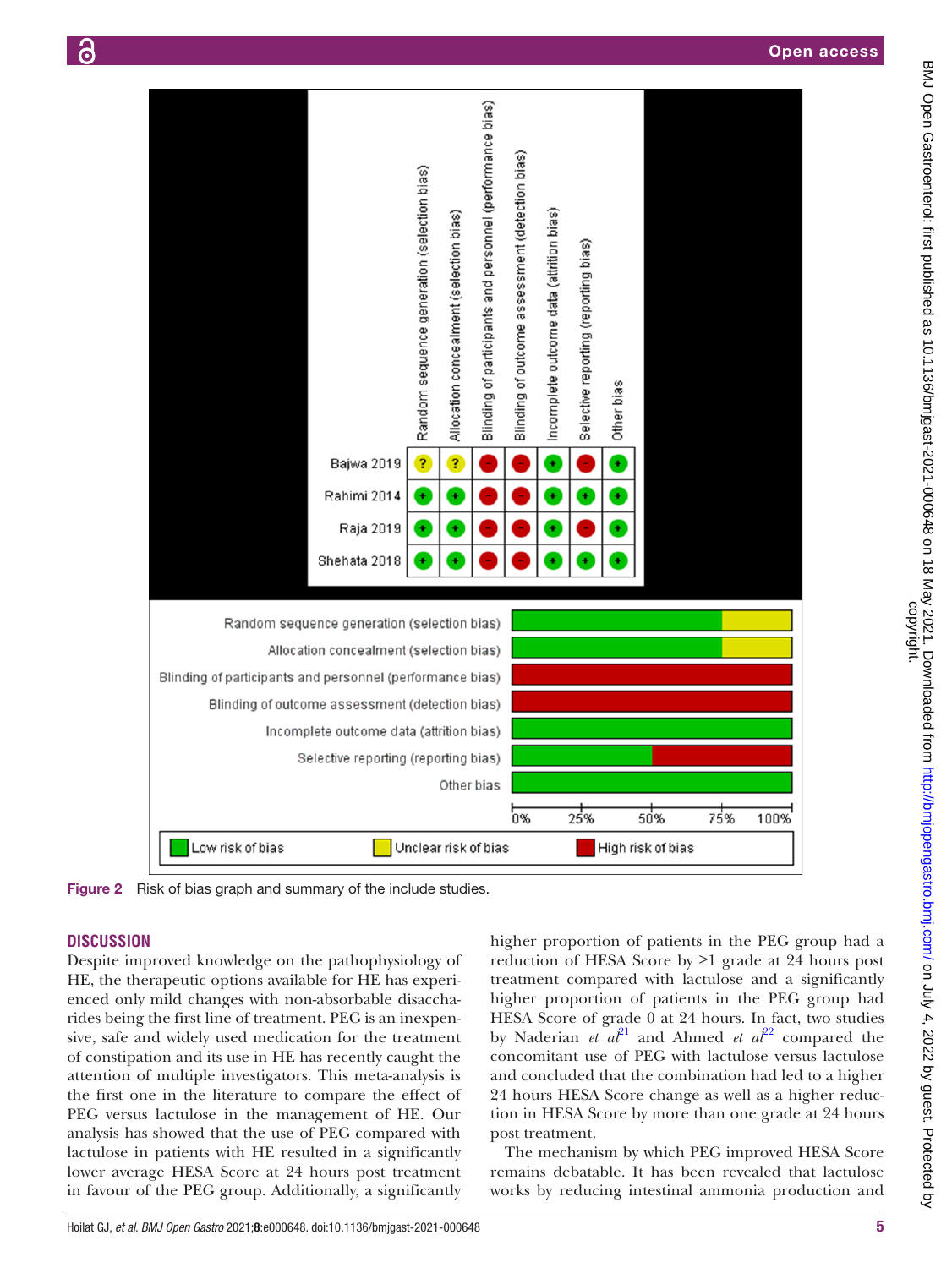



<span id="page-4-0"></span>Figure 2 Risk of bias graph and summary of the include studies.

# **DISCUSSION**

Despite improved knowledge on the pathophysiology of HE, the therapeutic options available for HE has experienced only mild changes with non-absorbable disaccharides being the first line of treatment. PEG is an inexpensive, safe and widely used medication for the treatment of constipation and its use in HE has recently caught the attention of multiple investigators. This meta-analysis is the first one in the literature to compare the effect of PEG versus lactulose in the management of HE. Our analysis has showed that the use of PEG compared with lactulose in patients with HE resulted in a significantly lower average HESA Score at 24 hours post treatment in favour of the PEG group. Additionally, a significantly

higher proportion of patients in the PEG group had a reduction of HESA Score by ≥1 grade at 24 hours post treatment compared with lactulose and a significantly higher proportion of patients in the PEG group had HESA Score of grade 0 at 24 hours. In fact, two studies by Naderian *et al*<sup>21</sup> and Ahmed *et al*<sup>[22](#page-7-20)</sup> compared the concomitant use of PEG with lactulose versus lactulose and concluded that the combination had led to a higher 24 hours HESA Score change as well as a higher reduction in HESA Score by more than one grade at 24 hours post treatment.

The mechanism by which PEG improved HESA Score remains debatable. It has been revealed that lactulose works by reducing intestinal ammonia production and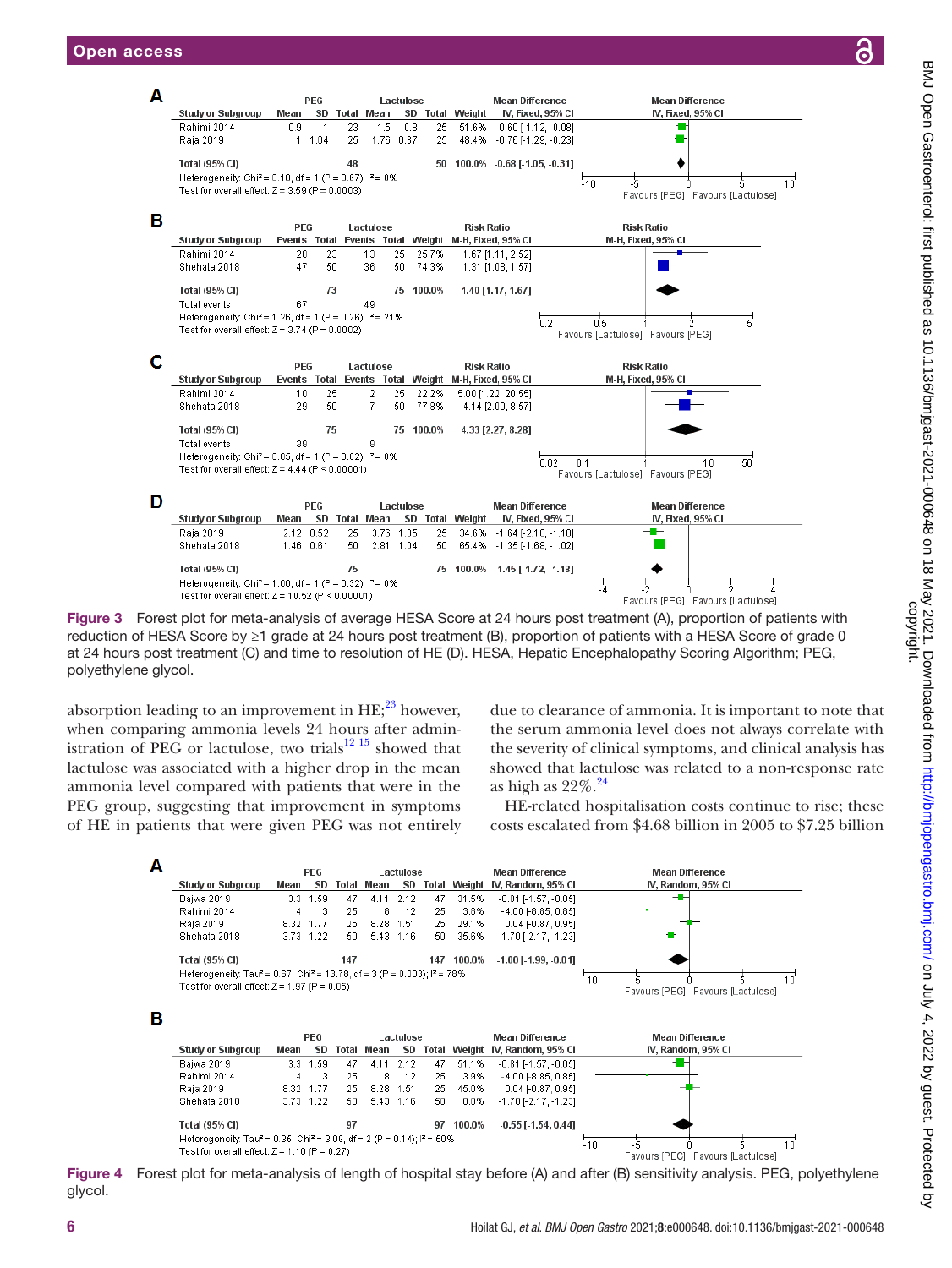

<span id="page-5-0"></span>Figure 3 Forest plot for meta-analysis of average HESA Score at 24 hours post treatment (A), proportion of patients with reduction of HESA Score by ≥1 grade at 24 hours post treatment (B), proportion of patients with a HESA Score of grade 0 at 24 hours post treatment (C) and time to resolution of HE (D). HESA, Hepatic Encephalopathy Scoring Algorithm; PEG, polyethylene glycol.

absorption leading to an improvement in  $HE;^{23}$  however, when comparing ammonia levels 24 hours after admin-istration of PEG or lactulose, two trials<sup>[12 15](#page-7-10)</sup> showed that lactulose was associated with a higher drop in the mean ammonia level compared with patients that were in the PEG group, suggesting that improvement in symptoms of HE in patients that were given PEG was not entirely due to clearance of ammonia. It is important to note that the serum ammonia level does not always correlate with the severity of clinical symptoms, and clinical analysis has showed that lactulose was related to a non-response rate as high as  $22\%$ .<sup>24</sup>

HE-related hospitalisation costs continue to rise; these costs escalated from \$4.68 billion in 2005 to \$7.25 billion



<span id="page-5-1"></span>Figure 4 Forest plot for meta-analysis of length of hospital stay before (A) and after (B) sensitivity analysis. PEG, polyethylene glycol.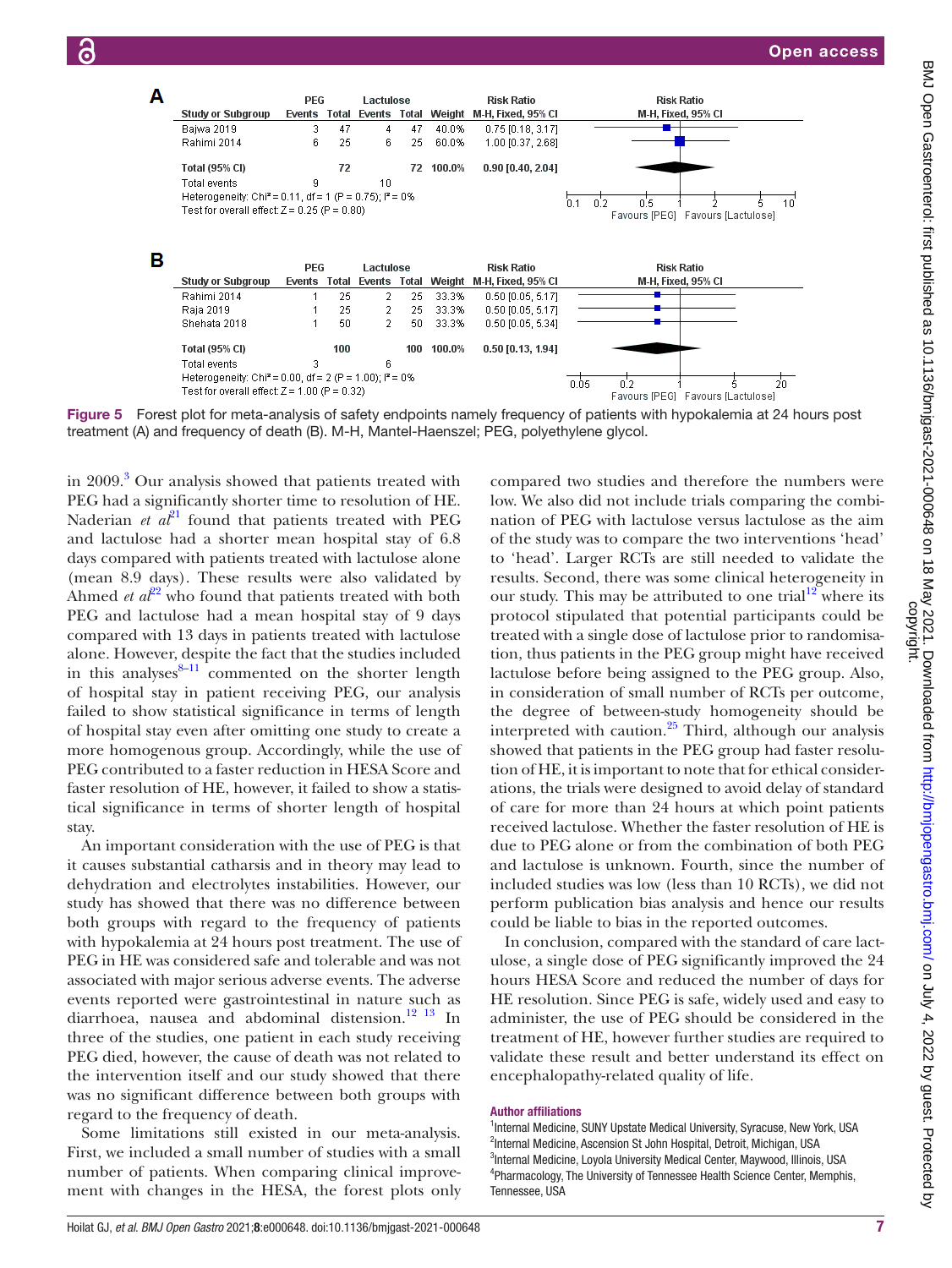

<span id="page-6-0"></span>Figure 5 Forest plot for meta-analysis of safety endpoints namely frequency of patients with hypokalemia at 24 hours post treatment (A) and frequency of death (B). M-H, Mantel-Haenszel; PEG, polyethylene glycol.

in 2009.<sup>[3](#page-7-1)</sup> Our analysis showed that patients treated with PEG had a significantly shorter time to resolution of HE. Naderian  $et \t a t<sup>21</sup>$  $et \t a t<sup>21</sup>$  $et \t a t<sup>21</sup>$  found that patients treated with PEG and lactulose had a shorter mean hospital stay of 6.8 days compared with patients treated with lactulose alone (mean 8.9 days). These results were also validated by Ahmed *et*  $a^{2^2}$  who found that patients treated with both PEG and lactulose had a mean hospital stay of 9 days compared with 13 days in patients treated with lactulose alone. However, despite the fact that the studies included in this analyses $8-11$  commented on the shorter length of hospital stay in patient receiving PEG, our analysis failed to show statistical significance in terms of length of hospital stay even after omitting one study to create a more homogenous group. Accordingly, while the use of PEG contributed to a faster reduction in HESA Score and faster resolution of HE, however, it failed to show a statistical significance in terms of shorter length of hospital stay.

An important consideration with the use of PEG is that it causes substantial catharsis and in theory may lead to dehydration and electrolytes instabilities. However, our study has showed that there was no difference between both groups with regard to the frequency of patients with hypokalemia at 24 hours post treatment. The use of PEG in HE was considered safe and tolerable and was not associated with major serious adverse events. The adverse events reported were gastrointestinal in nature such as diarrhoea, nausea and abdominal distension. $^{12}$  13 In three of the studies, one patient in each study receiving PEG died, however, the cause of death was not related to the intervention itself and our study showed that there was no significant difference between both groups with regard to the frequency of death.

Some limitations still existed in our meta-analysis. First, we included a small number of studies with a small number of patients. When comparing clinical improvement with changes in the HESA, the forest plots only

compared two studies and therefore the numbers were low. We also did not include trials comparing the combination of PEG with lactulose versus lactulose as the aim of the study was to compare the two interventions 'head' to 'head'. Larger RCTs are still needed to validate the results. Second, there was some clinical heterogeneity in our study. This may be attributed to one trial<sup>12</sup> where its protocol stipulated that potential participants could be treated with a single dose of lactulose prior to randomisation, thus patients in the PEG group might have received lactulose before being assigned to the PEG group. Also, in consideration of small number of RCTs per outcome, the degree of between-study homogeneity should be interpreted with caution. $25$  Third, although our analysis showed that patients in the PEG group had faster resolution of HE, it is important to note that for ethical considerations, the trials were designed to avoid delay of standard of care for more than 24 hours at which point patients received lactulose. Whether the faster resolution of HE is due to PEG alone or from the combination of both PEG and lactulose is unknown. Fourth, since the number of included studies was low (less than 10 RCTs), we did not perform publication bias analysis and hence our results could be liable to bias in the reported outcomes.

In conclusion, compared with the standard of care lactulose, a single dose of PEG significantly improved the 24 hours HESA Score and reduced the number of days for HE resolution. Since PEG is safe, widely used and easy to administer, the use of PEG should be considered in the treatment of HE, however further studies are required to validate these result and better understand its effect on encephalopathy-related quality of life.

#### Author affiliations

<sup>1</sup>Internal Medicine, SUNY Upstate Medical University, Syracuse, New York, USA <sup>2</sup>Internal Medicine, Ascension St John Hospital, Detroit, Michigan, USA <sup>3</sup>Internal Medicine, Loyola University Medical Center, Maywood, Illinois, USA 4 Pharmacology, The University of Tennessee Health Science Center, Memphis, Tennessee, USA